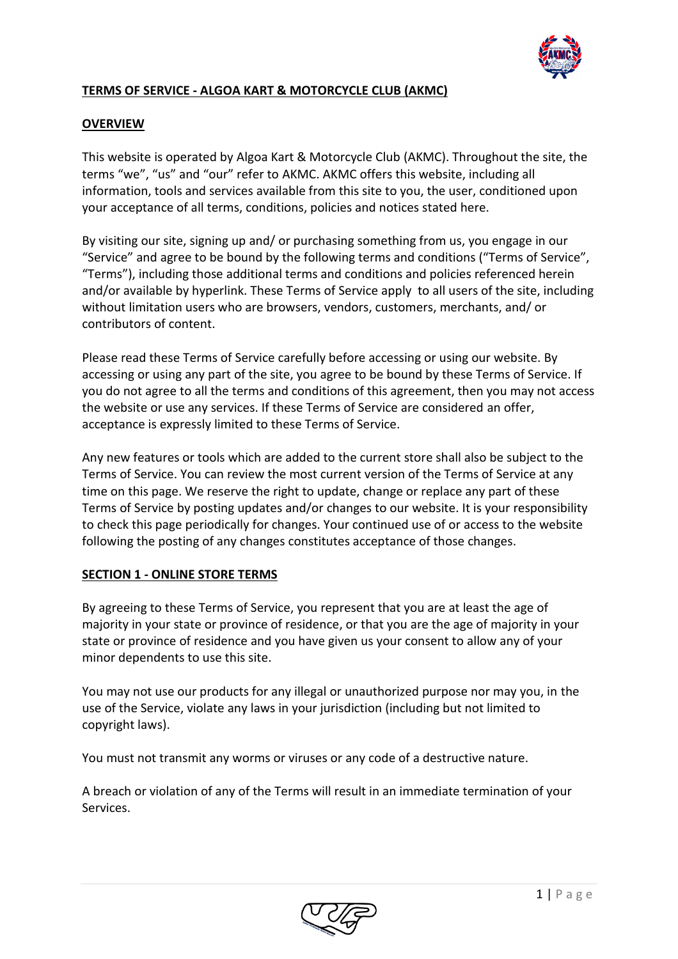

# **TERMS OF SERVICE - ALGOA KART & MOTORCYCLE CLUB (AKMC)**

#### **OVERVIEW**

This website is operated by Algoa Kart & Motorcycle Club (AKMC). Throughout the site, the terms "we", "us" and "our" refer to AKMC. AKMC offers this website, including all information, tools and services available from this site to you, the user, conditioned upon your acceptance of all terms, conditions, policies and notices stated here.

By visiting our site, signing up and/ or purchasing something from us, you engage in our "Service" and agree to be bound by the following terms and conditions ("Terms of Service", "Terms"), including those additional terms and conditions and policies referenced herein and/or available by hyperlink. These Terms of Service apply to all users of the site, including without limitation users who are browsers, vendors, customers, merchants, and/ or contributors of content.

Please read these Terms of Service carefully before accessing or using our website. By accessing or using any part of the site, you agree to be bound by these Terms of Service. If you do not agree to all the terms and conditions of this agreement, then you may not access the website or use any services. If these Terms of Service are considered an offer, acceptance is expressly limited to these Terms of Service.

Any new features or tools which are added to the current store shall also be subject to the Terms of Service. You can review the most current version of the Terms of Service at any time on this page. We reserve the right to update, change or replace any part of these Terms of Service by posting updates and/or changes to our website. It is your responsibility to check this page periodically for changes. Your continued use of or access to the website following the posting of any changes constitutes acceptance of those changes.

#### **SECTION 1 - ONLINE STORE TERMS**

By agreeing to these Terms of Service, you represent that you are at least the age of majority in your state or province of residence, or that you are the age of majority in your state or province of residence and you have given us your consent to allow any of your minor dependents to use this site.

You may not use our products for any illegal or unauthorized purpose nor may you, in the use of the Service, violate any laws in your jurisdiction (including but not limited to copyright laws).

You must not transmit any worms or viruses or any code of a destructive nature.

A breach or violation of any of the Terms will result in an immediate termination of your Services.

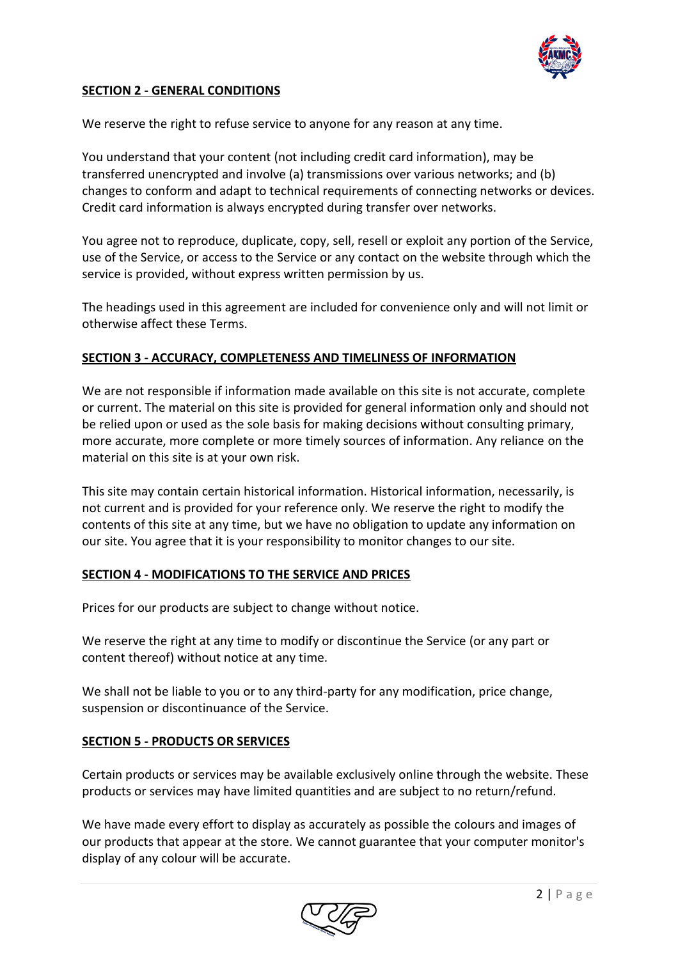

## **SECTION 2 - GENERAL CONDITIONS**

We reserve the right to refuse service to anyone for any reason at any time.

You understand that your content (not including credit card information), may be transferred unencrypted and involve (a) transmissions over various networks; and (b) changes to conform and adapt to technical requirements of connecting networks or devices. Credit card information is always encrypted during transfer over networks.

You agree not to reproduce, duplicate, copy, sell, resell or exploit any portion of the Service, use of the Service, or access to the Service or any contact on the website through which the service is provided, without express written permission by us.

The headings used in this agreement are included for convenience only and will not limit or otherwise affect these Terms.

#### **SECTION 3 - ACCURACY, COMPLETENESS AND TIMELINESS OF INFORMATION**

We are not responsible if information made available on this site is not accurate, complete or current. The material on this site is provided for general information only and should not be relied upon or used as the sole basis for making decisions without consulting primary, more accurate, more complete or more timely sources of information. Any reliance on the material on this site is at your own risk.

This site may contain certain historical information. Historical information, necessarily, is not current and is provided for your reference only. We reserve the right to modify the contents of this site at any time, but we have no obligation to update any information on our site. You agree that it is your responsibility to monitor changes to our site.

#### **SECTION 4 - MODIFICATIONS TO THE SERVICE AND PRICES**

Prices for our products are subject to change without notice.

We reserve the right at any time to modify or discontinue the Service (or any part or content thereof) without notice at any time.

We shall not be liable to you or to any third-party for any modification, price change, suspension or discontinuance of the Service.

## **SECTION 5 - PRODUCTS OR SERVICES**

Certain products or services may be available exclusively online through the website. These products or services may have limited quantities and are subject to no return/refund.

We have made every effort to display as accurately as possible the colours and images of our products that appear at the store. We cannot guarantee that your computer monitor's display of any colour will be accurate.

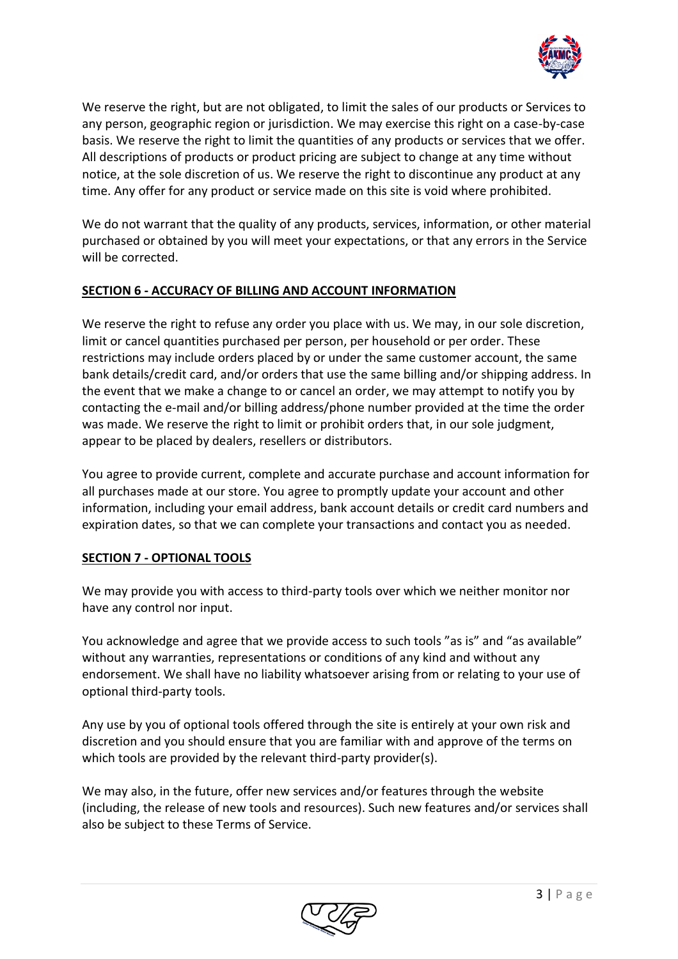

We reserve the right, but are not obligated, to limit the sales of our products or Services to any person, geographic region or jurisdiction. We may exercise this right on a case-by-case basis. We reserve the right to limit the quantities of any products or services that we offer. All descriptions of products or product pricing are subject to change at any time without notice, at the sole discretion of us. We reserve the right to discontinue any product at any time. Any offer for any product or service made on this site is void where prohibited.

We do not warrant that the quality of any products, services, information, or other material purchased or obtained by you will meet your expectations, or that any errors in the Service will be corrected.

## **SECTION 6 - ACCURACY OF BILLING AND ACCOUNT INFORMATION**

We reserve the right to refuse any order you place with us. We may, in our sole discretion, limit or cancel quantities purchased per person, per household or per order. These restrictions may include orders placed by or under the same customer account, the same bank details/credit card, and/or orders that use the same billing and/or shipping address. In the event that we make a change to or cancel an order, we may attempt to notify you by contacting the e-mail and/or billing address/phone number provided at the time the order was made. We reserve the right to limit or prohibit orders that, in our sole judgment, appear to be placed by dealers, resellers or distributors.

You agree to provide current, complete and accurate purchase and account information for all purchases made at our store. You agree to promptly update your account and other information, including your email address, bank account details or credit card numbers and expiration dates, so that we can complete your transactions and contact you as needed.

## **SECTION 7 - OPTIONAL TOOLS**

We may provide you with access to third-party tools over which we neither monitor nor have any control nor input.

You acknowledge and agree that we provide access to such tools "as is" and "as available" without any warranties, representations or conditions of any kind and without any endorsement. We shall have no liability whatsoever arising from or relating to your use of optional third-party tools.

Any use by you of optional tools offered through the site is entirely at your own risk and discretion and you should ensure that you are familiar with and approve of the terms on which tools are provided by the relevant third-party provider(s).

We may also, in the future, offer new services and/or features through the website (including, the release of new tools and resources). Such new features and/or services shall also be subject to these Terms of Service.

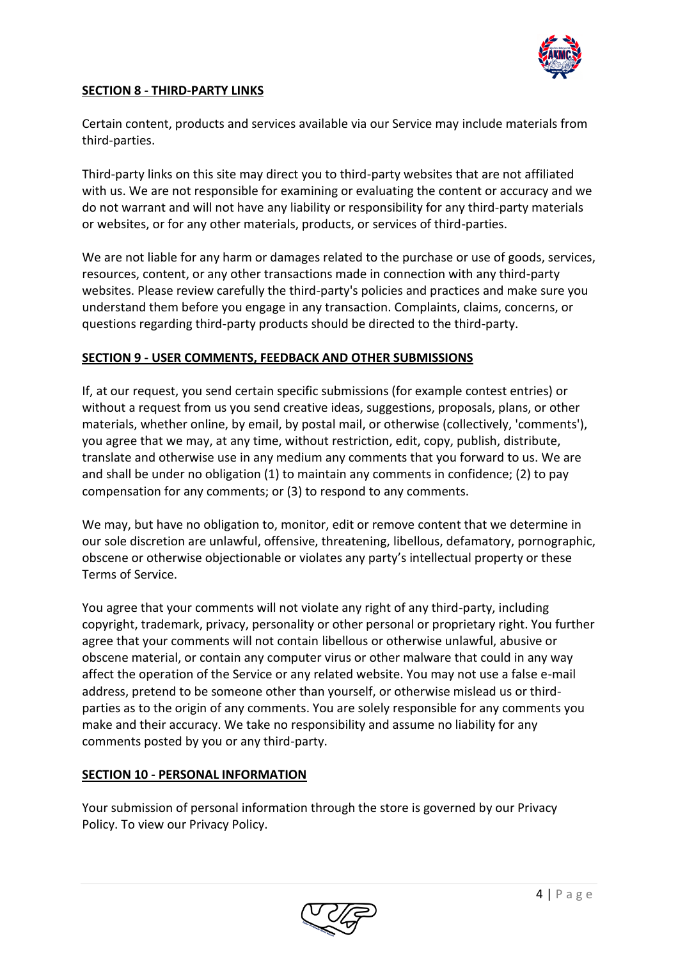

# **SECTION 8 - THIRD-PARTY LINKS**

Certain content, products and services available via our Service may include materials from third-parties.

Third-party links on this site may direct you to third-party websites that are not affiliated with us. We are not responsible for examining or evaluating the content or accuracy and we do not warrant and will not have any liability or responsibility for any third-party materials or websites, or for any other materials, products, or services of third-parties.

We are not liable for any harm or damages related to the purchase or use of goods, services, resources, content, or any other transactions made in connection with any third-party websites. Please review carefully the third-party's policies and practices and make sure you understand them before you engage in any transaction. Complaints, claims, concerns, or questions regarding third-party products should be directed to the third-party.

## **SECTION 9 - USER COMMENTS, FEEDBACK AND OTHER SUBMISSIONS**

If, at our request, you send certain specific submissions (for example contest entries) or without a request from us you send creative ideas, suggestions, proposals, plans, or other materials, whether online, by email, by postal mail, or otherwise (collectively, 'comments'), you agree that we may, at any time, without restriction, edit, copy, publish, distribute, translate and otherwise use in any medium any comments that you forward to us. We are and shall be under no obligation (1) to maintain any comments in confidence; (2) to pay compensation for any comments; or (3) to respond to any comments.

We may, but have no obligation to, monitor, edit or remove content that we determine in our sole discretion are unlawful, offensive, threatening, libellous, defamatory, pornographic, obscene or otherwise objectionable or violates any party's intellectual property or these Terms of Service.

You agree that your comments will not violate any right of any third-party, including copyright, trademark, privacy, personality or other personal or proprietary right. You further agree that your comments will not contain libellous or otherwise unlawful, abusive or obscene material, or contain any computer virus or other malware that could in any way affect the operation of the Service or any related website. You may not use a false e-mail address, pretend to be someone other than yourself, or otherwise mislead us or thirdparties as to the origin of any comments. You are solely responsible for any comments you make and their accuracy. We take no responsibility and assume no liability for any comments posted by you or any third-party.

## **SECTION 10 - PERSONAL INFORMATION**

Your submission of personal information through the store is governed by our Privacy Policy. To view our Privacy Policy.

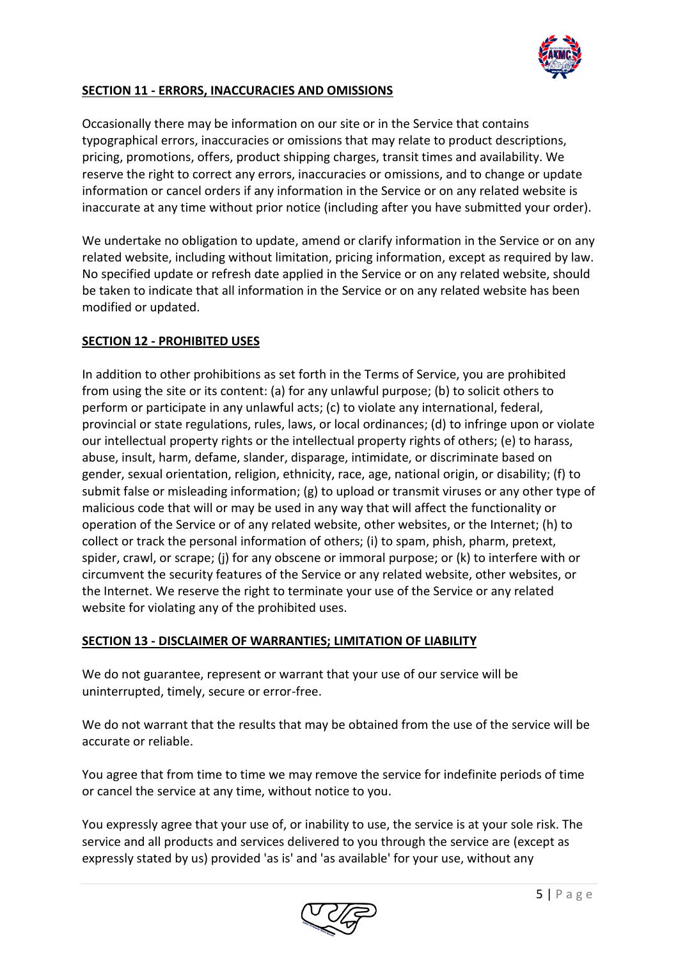

# **SECTION 11 - ERRORS, INACCURACIES AND OMISSIONS**

Occasionally there may be information on our site or in the Service that contains typographical errors, inaccuracies or omissions that may relate to product descriptions, pricing, promotions, offers, product shipping charges, transit times and availability. We reserve the right to correct any errors, inaccuracies or omissions, and to change or update information or cancel orders if any information in the Service or on any related website is inaccurate at any time without prior notice (including after you have submitted your order).

We undertake no obligation to update, amend or clarify information in the Service or on any related website, including without limitation, pricing information, except as required by law. No specified update or refresh date applied in the Service or on any related website, should be taken to indicate that all information in the Service or on any related website has been modified or updated.

# **SECTION 12 - PROHIBITED USES**

In addition to other prohibitions as set forth in the Terms of Service, you are prohibited from using the site or its content: (a) for any unlawful purpose; (b) to solicit others to perform or participate in any unlawful acts; (c) to violate any international, federal, provincial or state regulations, rules, laws, or local ordinances; (d) to infringe upon or violate our intellectual property rights or the intellectual property rights of others; (e) to harass, abuse, insult, harm, defame, slander, disparage, intimidate, or discriminate based on gender, sexual orientation, religion, ethnicity, race, age, national origin, or disability; (f) to submit false or misleading information; (g) to upload or transmit viruses or any other type of malicious code that will or may be used in any way that will affect the functionality or operation of the Service or of any related website, other websites, or the Internet; (h) to collect or track the personal information of others; (i) to spam, phish, pharm, pretext, spider, crawl, or scrape; (j) for any obscene or immoral purpose; or (k) to interfere with or circumvent the security features of the Service or any related website, other websites, or the Internet. We reserve the right to terminate your use of the Service or any related website for violating any of the prohibited uses.

# **SECTION 13 - DISCLAIMER OF WARRANTIES; LIMITATION OF LIABILITY**

We do not guarantee, represent or warrant that your use of our service will be uninterrupted, timely, secure or error-free.

We do not warrant that the results that may be obtained from the use of the service will be accurate or reliable.

You agree that from time to time we may remove the service for indefinite periods of time or cancel the service at any time, without notice to you.

You expressly agree that your use of, or inability to use, the service is at your sole risk. The service and all products and services delivered to you through the service are (except as expressly stated by us) provided 'as is' and 'as available' for your use, without any

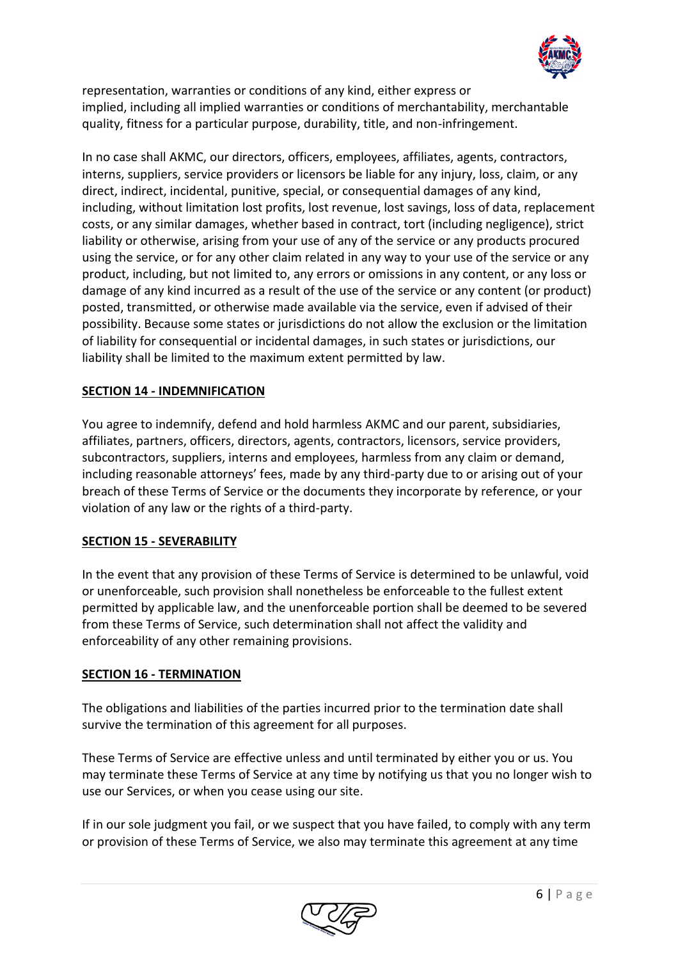

representation, warranties or conditions of any kind, either express or implied, including all implied warranties or conditions of merchantability, merchantable quality, fitness for a particular purpose, durability, title, and non-infringement.

In no case shall AKMC, our directors, officers, employees, affiliates, agents, contractors, interns, suppliers, service providers or licensors be liable for any injury, loss, claim, or any direct, indirect, incidental, punitive, special, or consequential damages of any kind, including, without limitation lost profits, lost revenue, lost savings, loss of data, replacement costs, or any similar damages, whether based in contract, tort (including negligence), strict liability or otherwise, arising from your use of any of the service or any products procured using the service, or for any other claim related in any way to your use of the service or any product, including, but not limited to, any errors or omissions in any content, or any loss or damage of any kind incurred as a result of the use of the service or any content (or product) posted, transmitted, or otherwise made available via the service, even if advised of their possibility. Because some states or jurisdictions do not allow the exclusion or the limitation of liability for consequential or incidental damages, in such states or jurisdictions, our liability shall be limited to the maximum extent permitted by law.

#### **SECTION 14 - INDEMNIFICATION**

You agree to indemnify, defend and hold harmless AKMC and our parent, subsidiaries, affiliates, partners, officers, directors, agents, contractors, licensors, service providers, subcontractors, suppliers, interns and employees, harmless from any claim or demand, including reasonable attorneys' fees, made by any third-party due to or arising out of your breach of these Terms of Service or the documents they incorporate by reference, or your violation of any law or the rights of a third-party.

## **SECTION 15 - SEVERABILITY**

In the event that any provision of these Terms of Service is determined to be unlawful, void or unenforceable, such provision shall nonetheless be enforceable to the fullest extent permitted by applicable law, and the unenforceable portion shall be deemed to be severed from these Terms of Service, such determination shall not affect the validity and enforceability of any other remaining provisions.

#### **SECTION 16 - TERMINATION**

The obligations and liabilities of the parties incurred prior to the termination date shall survive the termination of this agreement for all purposes.

These Terms of Service are effective unless and until terminated by either you or us. You may terminate these Terms of Service at any time by notifying us that you no longer wish to use our Services, or when you cease using our site.

If in our sole judgment you fail, or we suspect that you have failed, to comply with any term or provision of these Terms of Service, we also may terminate this agreement at any time